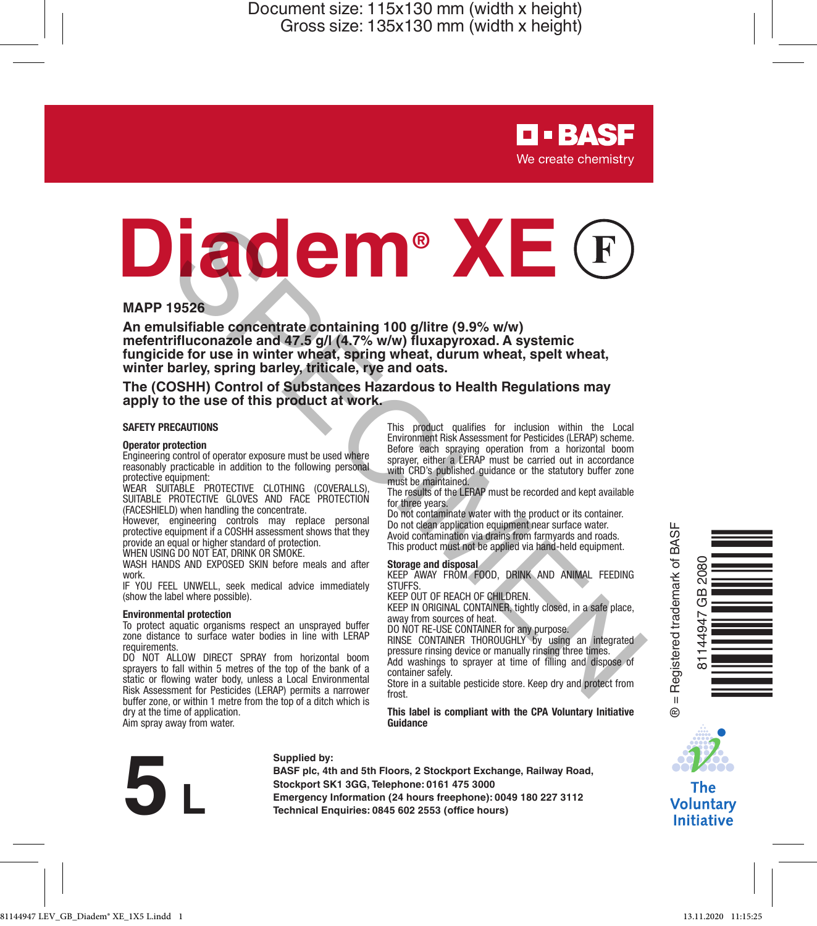> **D-BASF** We create chemistry

# **Example the second and depress and depend to the second and depress and second and second and second and second and second and second and second and second and second and second and second and second and second in the sec**

### **MAPP 19526**

**An emulsifiable concentrate containing 100 g/litre (9.9% w/w) mefentrifluconazole and 47.5 g/l (4.7% w/w) fluxapyroxad. A systemic fungicide for use in winter wheat, spring wheat, durum wheat, spelt wheat, winter barley, spring barley, triticale, rye and oats.**

### **The (COSHH) Control of Substances Hazardous to Health Regulations may apply to the use of this product at work.**

### **SAFETY PRECAUTIONS**

### **Operator protection**

Engineering control of operator exposure must be used where reasonably practicable in addition to the following personal protective equipment:

WEAR SUITABLE PROTECTIVE CLOTHING (COVERALLS), SUITABLE PROTECTIVE GLOVES AND FACE PROTECTION (FACESHIELD) when handling the concentrate.

However, engineering controls may replace personal protective equipment if a COSHH assessment shows that they provide an equal or higher standard of protection.

WHEN USING DO NOT EAT, DRINK OR SMOKE

WASH HANDS AND EXPOSED SKIN before meals and after work.

IF YOU FEEL UNWELL, seek medical advice immediately (show the label where possible).

### **Environmental protection**

To protect aquatic organisms respect an unsprayed buffer zone distance to surface water bodies in line with LERAP requirements.

DO NOT ALLOW DIRECT SPRAY from horizontal boom sprayers to fall within 5 metres of the top of the bank of a static or flowing water body, unless a Local Environmental Risk Assessment for Pesticides (LERAP) permits a narrower buffer zone, or within 1 metre from the top of a ditch which is dry at the time of application. Aim spray away from water.

This product qualifies for inclusion within the Local Environment Risk Assessment for Pesticides (LERAP) scheme. Before each spraying operation from a horizontal boom sprayer, either a LERAP must be carried out in accordance with CRD's published guidance or the statutory buffer zone must be maintained.

The results of the LERAP must be recorded and kept available for three years.

Do not contaminate water with the product or its container. Do not clean application equipment near surface water. Avoid contamination via drains from farmyards and roads. This product must not be applied via hand-held equipment.

### **Storage and disposal**

KEEP AWAY FROM FOOD, DRINK AND ANIMAL FEEDING STUFFS.

KEEP OUT OF REACH OF CHILDREN.

KEEP IN ORIGINAL CONTAINER, tightly closed, in a safe place, away from sources of heat.

DO NOT RE-USE CONTAINER for any purpose. RINSE CONTAINER THOROUGHLY by using an integrated pressure rinsing device or manually rinsing three times. Add washings to sprayer at time of filling and dispose of container safely.

Store in a suitable pesticide store. Keep dry and protect from frost.

**This label is compliant with the CPA Voluntary Initiative Guidance**



### **Supplied by:**

**BASF plc, 4th and 5th Floors, 2 Stockport Exchange, Railway Road, Stockport SK1 3GG, Telephone: 0161 475 3000 Explicit 10.4 hours freephone:** 0161 ABSE plc, 4th and 5th Floors, 2 Stockport Exchange, Railway Rost<br>Stockport SK1 3G6, Telephone: 0161 475 3000<br>Emergency Information (24 hours freephone): 0049 180 227 3112<br>Technical Enq





### **The Voluntary Initiative**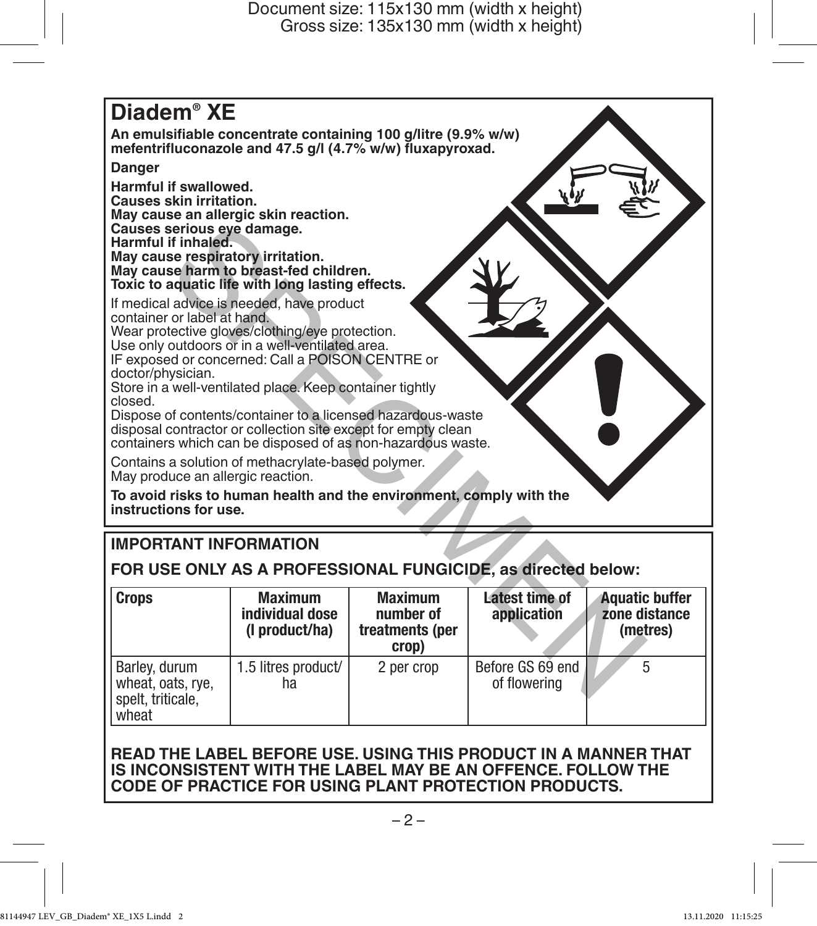

# **IMPORTANT INFORMATION**

**FOR USE ONLY AS A PROFESSIONAL FUNGICIDE, as directed below:**

| <b>Crops</b>                                                     | <b>Maximum</b><br>individual dose<br>(I product/ha) | <b>Maximum</b><br>number of<br>treatments (per<br>crop) | Latest time of<br>application    | Aquatic buffer<br>zone distance<br>(metres) |
|------------------------------------------------------------------|-----------------------------------------------------|---------------------------------------------------------|----------------------------------|---------------------------------------------|
| Barley, durum<br>wheat, oats, rye,<br>spelt. triticale.<br>wheat | 1.5 litres product/<br>ha                           | 2 per crop                                              | Before GS 69 end<br>of flowering |                                             |

# **READ THE LABEL BEFORE USE. USING THIS PRODUCT IN A MANNER THAT IS INCONSISTENT WITH THE LABEL MAY BE AN OFFENCE. FOLLOW THE CODE OF PRACTICE FOR USING PLANT PROTECTION PRODUCTS.**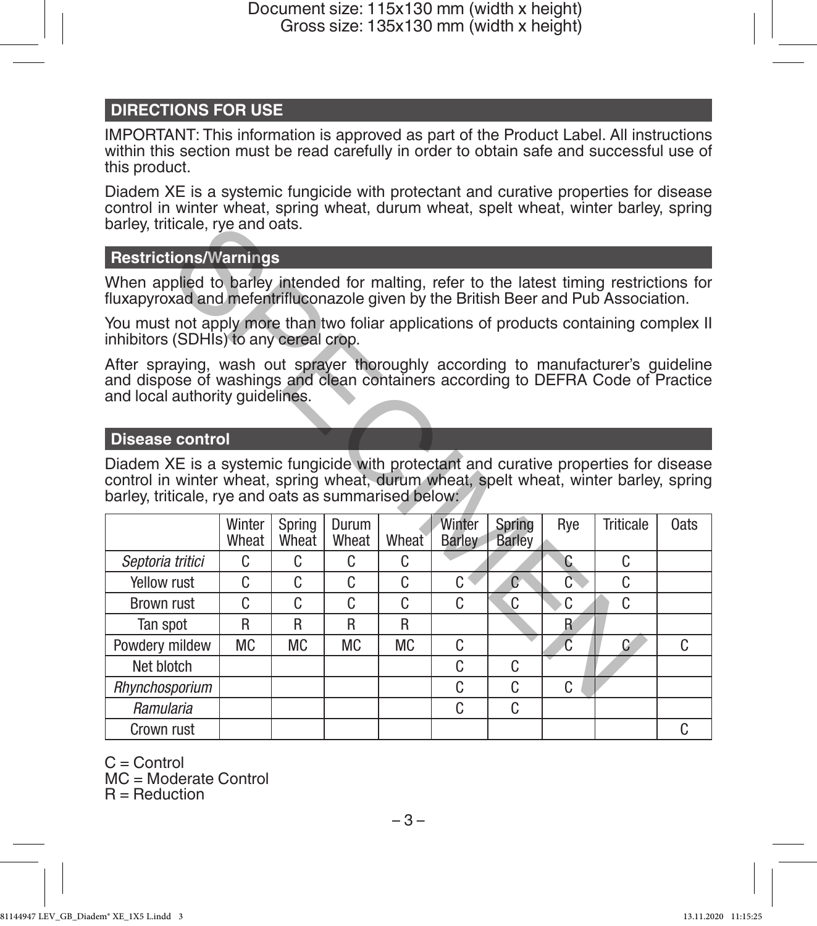# **DIRECTIONS FOR USE**

IMPORTANT: This information is approved as part of the Product Label. All instructions within this section must be read carefully in order to obtain safe and successful use of this product.

Diadem XE is a systemic fungicide with protectant and curative properties for disease control in winter wheat, spring wheat, durum wheat, spelt wheat, winter barley, spring barley, triticale, rye and oats.

# **Restrictions/Warnings**

### **Disease control**

| barley, triticale, rye and oats.                                                                                                                                                                                                        |                 |                 |                |           |                         |                         |                |           |      |  |  |
|-----------------------------------------------------------------------------------------------------------------------------------------------------------------------------------------------------------------------------------------|-----------------|-----------------|----------------|-----------|-------------------------|-------------------------|----------------|-----------|------|--|--|
| <b>Restrictions/Warnings</b>                                                                                                                                                                                                            |                 |                 |                |           |                         |                         |                |           |      |  |  |
| When applied to barley intended for malting, refer to the latest timing restrictions for<br>fluxapyroxad and mefentrifluconazole given by the British Beer and Pub Association.                                                         |                 |                 |                |           |                         |                         |                |           |      |  |  |
| You must not apply more than two foliar applications of products containing complex II<br>inhibitors (SDHIs) to any cereal crop.                                                                                                        |                 |                 |                |           |                         |                         |                |           |      |  |  |
| After spraying, wash out sprayer thoroughly according to manufacturer's guideline<br>and dispose of washings and clean containers according to DEFRA Code of Practice<br>and local authority guidelines.                                |                 |                 |                |           |                         |                         |                |           |      |  |  |
| <b>Disease control</b>                                                                                                                                                                                                                  |                 |                 |                |           |                         |                         |                |           |      |  |  |
| Diadem XE is a systemic fungicide with protectant and curative properties for disease<br>control in winter wheat, spring wheat, durum wheat, spelt wheat, winter barley, spring<br>barley, triticale, rye and oats as summarised below: |                 |                 |                |           |                         |                         |                |           |      |  |  |
|                                                                                                                                                                                                                                         | Winter<br>Wheat | Spring<br>Wheat | Durum<br>Wheat | Wheat     | Winter<br><b>Barley</b> | Spring<br><b>Barley</b> | Rye            | Triticale | 0ats |  |  |
| Septoria tritici                                                                                                                                                                                                                        | C               | C               | C              | C         |                         |                         | C              | C         |      |  |  |
| Yellow rust                                                                                                                                                                                                                             | C               | C               | C              | C         | C                       | $\overline{C}$          | $\overline{C}$ | C         |      |  |  |
| Brown rust                                                                                                                                                                                                                              | C               | C               | C              | C         | C                       | C                       | C              | C         |      |  |  |
| Tan spot                                                                                                                                                                                                                                | R               | R               | R              | R         |                         |                         | R              |           |      |  |  |
| Powdery mildew                                                                                                                                                                                                                          | <b>MC</b>       | <b>MC</b>       | <b>MC</b>      | <b>MC</b> | C                       |                         | $\overline{c}$ | C         |      |  |  |
|                                                                                                                                                                                                                                         |                 |                 |                |           |                         |                         |                |           | C    |  |  |
| Net blotch                                                                                                                                                                                                                              |                 |                 |                |           | C                       | C                       |                |           |      |  |  |
| Rhynchosporium                                                                                                                                                                                                                          |                 |                 |                |           | C                       | C.                      | C              |           |      |  |  |
| Ramularia                                                                                                                                                                                                                               |                 |                 |                |           | C                       | C                       |                |           |      |  |  |

C = Control

MC = Moderate Control  $R =$  Reduction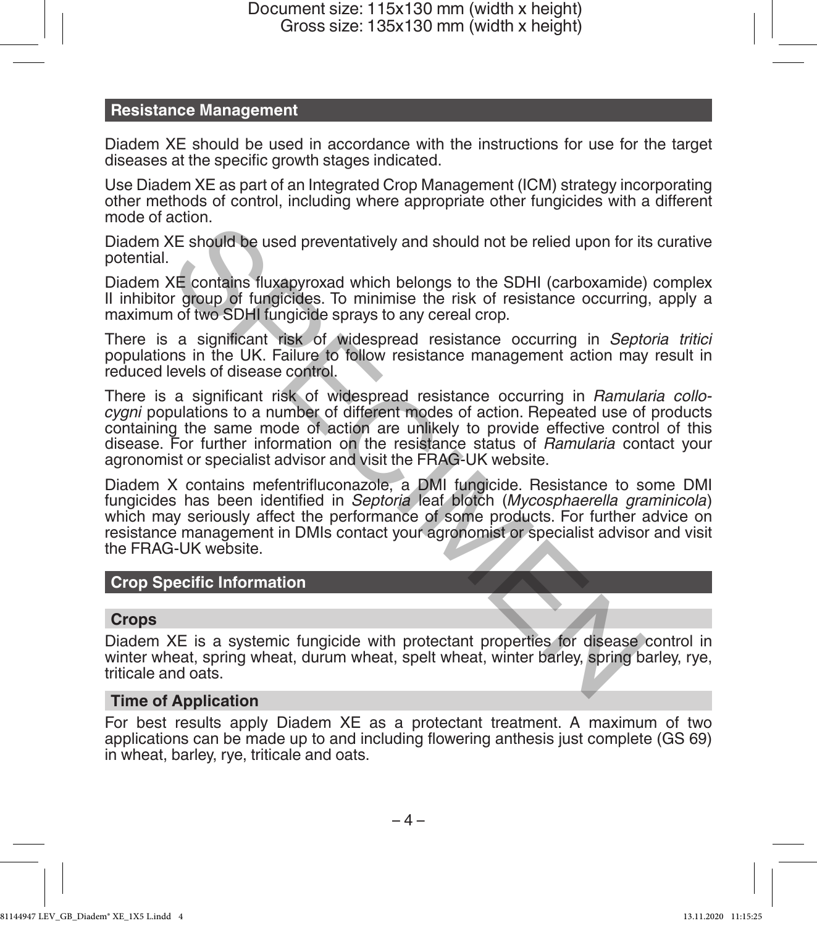# **Resistance Management**

Diadem XE should be used in accordance with the instructions for use for the target diseases at the specific growth stages indicated.

Use Diadem XE as part of an Integrated Crop Management (ICM) strategy incorporating other methods of control, including where appropriate other fungicides with a different mode of action.

Diadem XE should be used preventatively and should not be relied upon for its curative potential.

Diadem XE contains fluxapyroxad which belongs to the SDHI (carboxamide) complex II inhibitor group of fungicides. To minimise the risk of resistance occurring, apply a maximum of two SDHI fungicide sprays to any cereal crop.

There is a significant risk of widespread resistance occurring in *Septoria tritici* populations in the UK. Failure to follow resistance management action may result in reduced levels of disease control.

There is a significant risk of widespread resistance occurring in *Ramularia collocygni* populations to a number of different modes of action. Repeated use of products containing the same mode of action are unlikely to provide effective control of this disease. For further information on the resistance status of *Ramularia* contact your agronomist or specialist advisor and visit the FRAG-UK website.

Diadem X contains mefentrifluconazole, a DMI fungicide. Resistance to some DMI fungicides has been identified in *Septoria* leaf blotch (*Mycosphaerella graminicola*) which may seriously affect the performance of some products. For further advice on resistance management in DMIs contact your agronomist or specialist advisor and visit the FRAG-UK website. Socialist should be used preventatively and should not be relied upon for its<br>
XE should be used preventatively and should not be relied upon for its<br>
XE contains fluxepyroxad which belongs to the SDHI (carboxamide)<br>
or of

# **Crop Specific Information**

### **Crops**

Diadem XE is a systemic fungicide with protectant properties for disease control in winter wheat, spring wheat, durum wheat, spelt wheat, winter barley, spring barley, rye, triticale and oats.

### **Time of Application**

For best results apply Diadem XE as a protectant treatment. A maximum of two applications can be made up to and including flowering anthesis just complete (GS 69) in wheat, barley, rye, triticale and oats.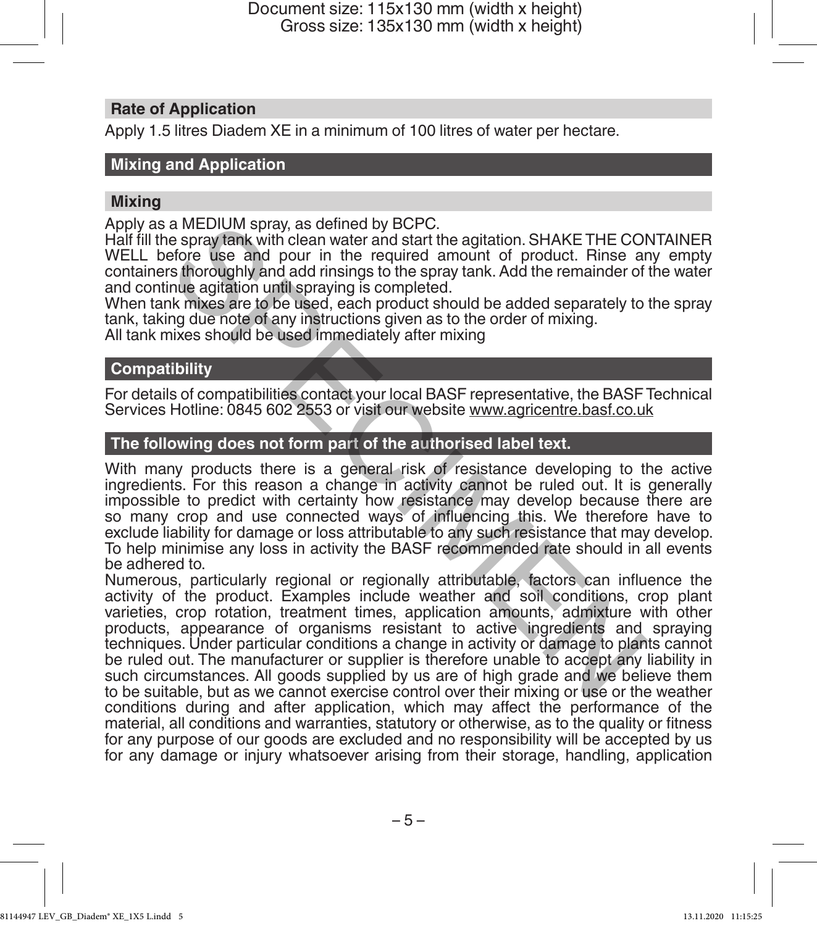# **Rate of Application**

Apply 1.5 litres Diadem XE in a minimum of 100 litres of water per hectare.

# **Mixing and Application**

### **Mixing**

Apply as a MEDIUM spray, as defined by BCPC.

Half fill the spray tank with clean water and start the agitation. SHAKE THE CONTAINER WELL before use and pour in the required amount of product. Rinse any empty containers thoroughly and add rinsings to the spray tank. Add the remainder of the water and continue agitation until spraying is completed.

When tank mixes are to be used, each product should be added separately to the spray tank, taking due note of any instructions given as to the order of mixing.

All tank mixes should be used immediately after mixing

# **Compatibility**

For details of compatibilities contact your local BASF representative, the BASF Technical Services Hotline: 0845 602 2553 or visit our website www.agricentre.basf.co.uk

# **The following does not form part of the authorised label text.**

With many products there is a general risk of resistance developing to the active ingredients. For this reason a change in activity cannot be ruled out. It is generally impossible to predict with certainty how resistance may develop because there are so many crop and use connected ways of influencing this. We therefore have to exclude liability for damage or loss attributable to any such resistance that may develop. To help minimise any loss in activity the BASF recommended rate should in all events be adhered to.

Numerous, particularly regional or regionally attributable, factors can influence the activity of the product. Examples include weather and soil conditions, crop plant varieties, crop rotation, treatment times, application amounts, admixture with other products, appearance of organisms resistant to active ingredients and spraying techniques. Under particular conditions a change in activity or damage to plants cannot be ruled out. The manufacturer or supplier is therefore unable to accept any liability in such circumstances. All goods supplied by us are of high grade and we believe them to be suitable, but as we cannot exercise control over their mixing or use or the weather conditions during and after application, which may affect the performance of the material, all conditions and warranties, statutory or otherwise, as to the quality or fitness for any purpose of our goods are excluded and no responsibility will be accepted by us for any damage or injury whatsoever arising from their storage, handling, application a MEDIUM spray, as defined by BCPC.<br>
a spray tank with clean water and start the agitation. SHAKE THE COI<br>
e spray tank with clean water and start the agitation. SHAKE THE COI<br>
effore use and pour in the required amount of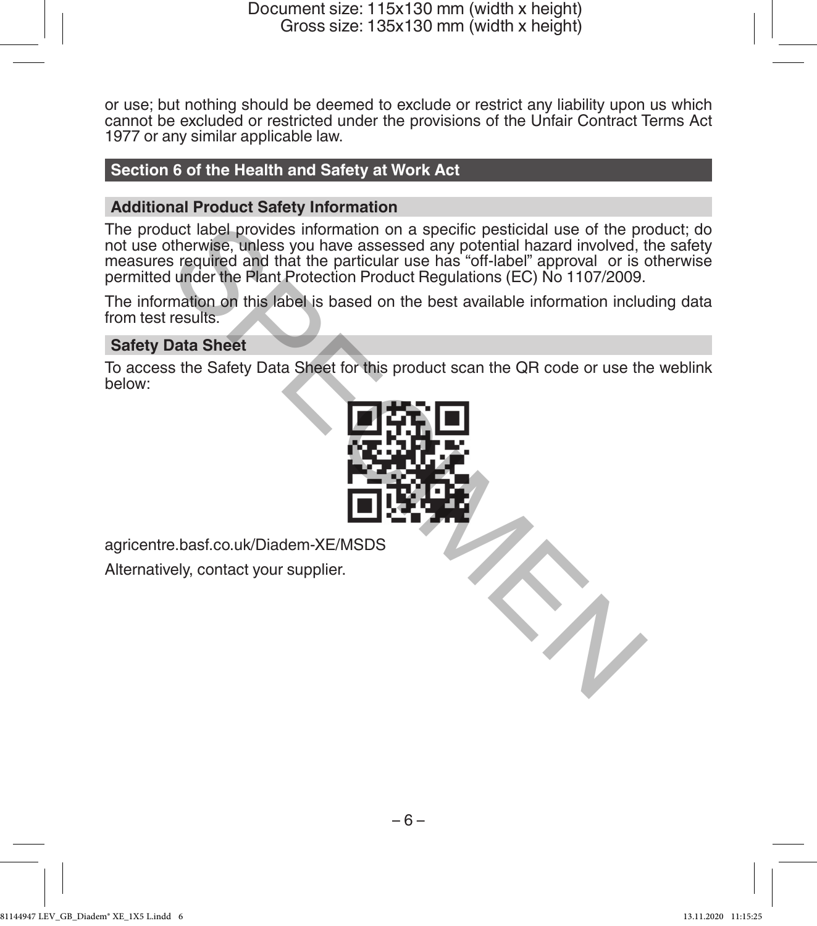or use; but nothing should be deemed to exclude or restrict any liability upon us which cannot be excluded or restricted under the provisions of the Unfair Contract Terms Act 1977 or any similar applicable law.

# **Section 6 of the Health and Safety at Work Act**

# **Additional Product Safety Information**

The product label provides information on a specific pesticidal use of the product; do not use otherwise, unless you have assessed any potential hazard involved, the safety measures required and that the particular use has "off-label" approval or is otherwise permitted under the Plant Protection Product Regulations (EC) No 1107/2009. luct label provides information on a specific pesticidal use of the pretorian increases of a specific pesticidal hazard involved, the series you have assessed any potential hazard involved, the particular use has "off-labe

The information on this label is based on the best available information including data from test results.

# **Safety Data Sheet**

To access the Safety Data Sheet for this product scan the QR code or use the weblink below:



agricentre.basf.co.uk/Diadem-XE/MSDS

Alternatively, contact your supplier.